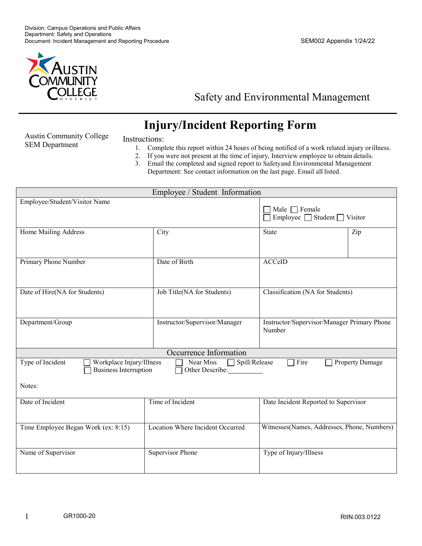

## Safety and Environmental Management

## **Injury/Incident Reporting Form**

Austin Community College SEM Department

## Instructions:

- 1. Complete this report within 24 hours of being notified of a work related injury orillness.
- 2. If you were not present at the time of injury, Interview employee to obtain details.
- 3. Email the completed and signed report to Safetyand Environmental Management Department: See contact information on the last page. Email all listed.

| Employee / Student Information                                                                                      |                                  |                                             |  |  |  |
|---------------------------------------------------------------------------------------------------------------------|----------------------------------|---------------------------------------------|--|--|--|
| Employee/Student/Visitor Name                                                                                       |                                  |                                             |  |  |  |
|                                                                                                                     |                                  | Male $\Box$ Female                          |  |  |  |
|                                                                                                                     |                                  | Employee $\Box$ Student $\Box$ Visitor      |  |  |  |
| Home Mailing Address                                                                                                | City                             | State<br>Zip                                |  |  |  |
|                                                                                                                     |                                  |                                             |  |  |  |
|                                                                                                                     |                                  |                                             |  |  |  |
|                                                                                                                     |                                  |                                             |  |  |  |
| Primary Phone Number                                                                                                | Date of Birth                    | <b>ACCeID</b>                               |  |  |  |
|                                                                                                                     |                                  |                                             |  |  |  |
|                                                                                                                     |                                  |                                             |  |  |  |
| Date of Hire(NA for Students)                                                                                       | Job Title(NA for Students)       | Classification (NA for Students)            |  |  |  |
|                                                                                                                     |                                  |                                             |  |  |  |
|                                                                                                                     |                                  |                                             |  |  |  |
| Department/Group                                                                                                    | Instructor/Supervisor/Manager    | Instructor/Supervisor/Manager Primary Phone |  |  |  |
|                                                                                                                     |                                  | Number                                      |  |  |  |
|                                                                                                                     |                                  |                                             |  |  |  |
|                                                                                                                     |                                  |                                             |  |  |  |
| Occurrence Information                                                                                              |                                  |                                             |  |  |  |
| Type of Incident<br>Workplace Injury/Illness<br>Near Miss $\Box$ Spill/Release<br>$\exists$ Fire<br>Property Damage |                                  |                                             |  |  |  |
| <b>Business Interruption</b><br>Other Describe:                                                                     |                                  |                                             |  |  |  |
| Notes:                                                                                                              |                                  |                                             |  |  |  |
|                                                                                                                     |                                  |                                             |  |  |  |
| Date of Incident                                                                                                    | Time of Incident                 | Date Incident Reported to Supervisor        |  |  |  |
|                                                                                                                     |                                  |                                             |  |  |  |
|                                                                                                                     |                                  |                                             |  |  |  |
| Time Employee Began Work (ex: 8:15)                                                                                 | Location Where Incident Occurred | Witnesses(Names, Addresses, Phone, Numbers) |  |  |  |
|                                                                                                                     |                                  |                                             |  |  |  |
|                                                                                                                     |                                  |                                             |  |  |  |
| Name of Supervisor                                                                                                  | <b>Supervisor Phone</b>          | Type of Injury/Illness                      |  |  |  |
|                                                                                                                     |                                  |                                             |  |  |  |
|                                                                                                                     |                                  |                                             |  |  |  |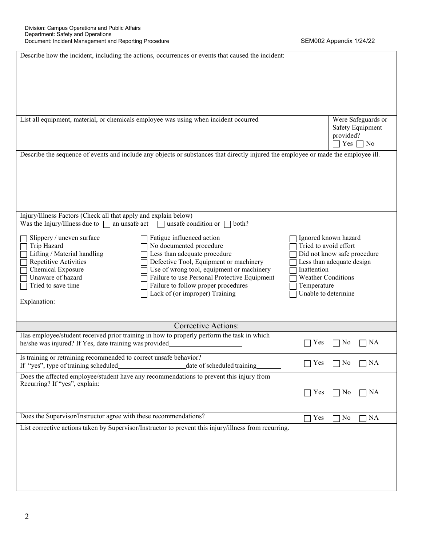| Describe how the incident, including the actions, occurrences or events that caused the incident:                                                |                               |  |  |  |
|--------------------------------------------------------------------------------------------------------------------------------------------------|-------------------------------|--|--|--|
|                                                                                                                                                  |                               |  |  |  |
|                                                                                                                                                  |                               |  |  |  |
|                                                                                                                                                  |                               |  |  |  |
|                                                                                                                                                  |                               |  |  |  |
|                                                                                                                                                  |                               |  |  |  |
| List all equipment, material, or chemicals employee was using when incident occurred                                                             | Were Safeguards or            |  |  |  |
|                                                                                                                                                  | Safety Equipment<br>provided? |  |  |  |
|                                                                                                                                                  | Yes $\Box$ No                 |  |  |  |
| Describe the sequence of events and include any objects or substances that directly injured the employee or made the employee ill.               |                               |  |  |  |
|                                                                                                                                                  |                               |  |  |  |
|                                                                                                                                                  |                               |  |  |  |
|                                                                                                                                                  |                               |  |  |  |
|                                                                                                                                                  |                               |  |  |  |
|                                                                                                                                                  |                               |  |  |  |
| Injury/Illness Factors (Check all that apply and explain below)                                                                                  |                               |  |  |  |
| Was the Injury/Illness due to $\Box$<br>unsafe condition or $\Box$<br>an unsafe act<br>both?                                                     |                               |  |  |  |
| Fatigue influenced action<br>Slippery / uneven surface                                                                                           | Ignored known hazard          |  |  |  |
| No documented procedure<br>Trip Hazard                                                                                                           | Tried to avoid effort         |  |  |  |
| Less than adequate procedure<br>Lifting / Material handling                                                                                      | Did not know safe procedure   |  |  |  |
| Repetitive Activities<br>Defective Tool, Equipment or machinery<br>Use of wrong tool, equipment or machinery<br>Inattention<br>Chemical Exposure | Less than adequate design     |  |  |  |
| Unaware of hazard<br>Failure to use Personal Protective Equipment                                                                                | <b>Weather Conditions</b>     |  |  |  |
| Failure to follow proper procedures<br>Tried to save time<br>Temperature                                                                         |                               |  |  |  |
| Lack of (or improper) Training                                                                                                                   | Unable to determine           |  |  |  |
| Explanation:                                                                                                                                     |                               |  |  |  |
|                                                                                                                                                  |                               |  |  |  |
| <b>Corrective Actions:</b>                                                                                                                       |                               |  |  |  |
| Has employee/student received prior training in how to properly perform the task in which<br>Yes                                                 | No<br>] NA                    |  |  |  |
| he/she was injured? If Yes, date training was provided                                                                                           |                               |  |  |  |
| Is training or retraining recommended to correct unsafe behavior?<br>Yes                                                                         | No<br>] NA                    |  |  |  |
| If "yes", type of training scheduled<br>date of scheduled training                                                                               |                               |  |  |  |
| Does the affected employee/student have any recommendations to prevent this injury from<br>Recurring? If "yes", explain:                         |                               |  |  |  |
| Yes<br>$\Box$                                                                                                                                    | $\Box$ No<br>$\Box$ NA        |  |  |  |
|                                                                                                                                                  |                               |  |  |  |
| Does the Supervisor/Instructor agree with these recommendations?                                                                                 |                               |  |  |  |
| Yes<br>No<br>NA<br>List corrective actions taken by Supervisor/Instructor to prevent this injury/illness from recurring.                         |                               |  |  |  |
|                                                                                                                                                  |                               |  |  |  |
|                                                                                                                                                  |                               |  |  |  |
|                                                                                                                                                  |                               |  |  |  |
|                                                                                                                                                  |                               |  |  |  |
|                                                                                                                                                  |                               |  |  |  |
|                                                                                                                                                  |                               |  |  |  |